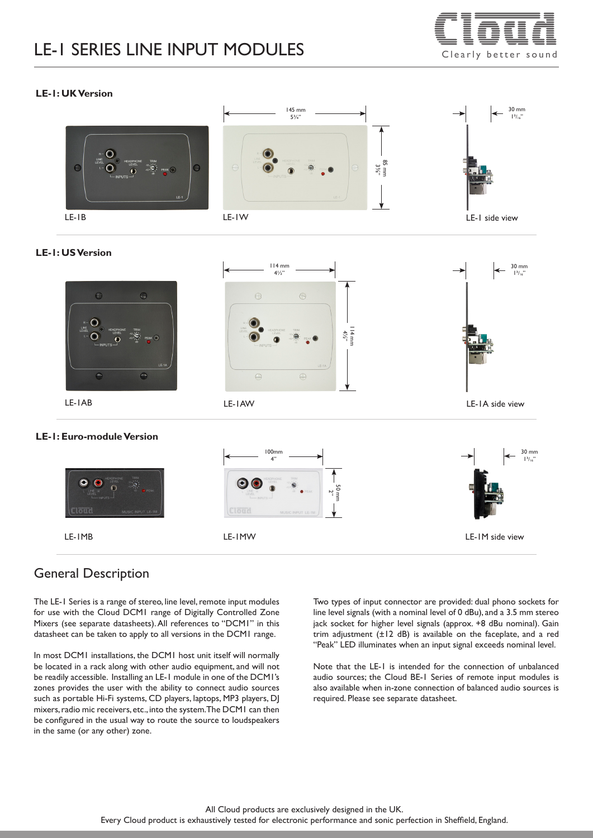# LE-1 SERIES LINE INPUT MODULES  $\overline{C} = \overline{C} = \overline{C} = \overline{C}$



#### **LE-1: UK Version**



#### **LE-1: US Version**



**Closis** 

LE-1MB LE-1MW LE-1M side view

Cloud

## General Description

The LE-1 Series is a range of stereo, line level, remote input modules for use with the Cloud DCM1 range of Digitally Controlled Zone Mixers (see separate datasheets). All references to "DCM1" in this datasheet can be taken to apply to all versions in the DCM1 range.

In most DCM1 installations, the DCM1 host unit itself will normally be located in a rack along with other audio equipment, and will not be readily accessible. Installing an LE-1 module in one of the DCM1's zones provides the user with the ability to connect audio sources such as portable Hi-Fi systems, CD players, laptops, MP3 players, DJ mixers, radio mic receivers, etc., into the system. The DCM1 can then be configured in the usual way to route the source to loudspeakers in the same (or any other) zone.

Two types of input connector are provided: dual phono sockets for line level signals (with a nominal level of 0 dBu), and a 3.5 mm stereo jack socket for higher level signals (approx. +8 dBu nominal). Gain trim adjustment (±12 dB) is available on the faceplate, and a red "Peak" LED illuminates when an input signal exceeds nominal level.

Note that the LE-1 is intended for the connection of unbalanced audio sources; the Cloud BE-1 Series of remote input modules is also available when in-zone connection of balanced audio sources is required. Please see separate datasheet.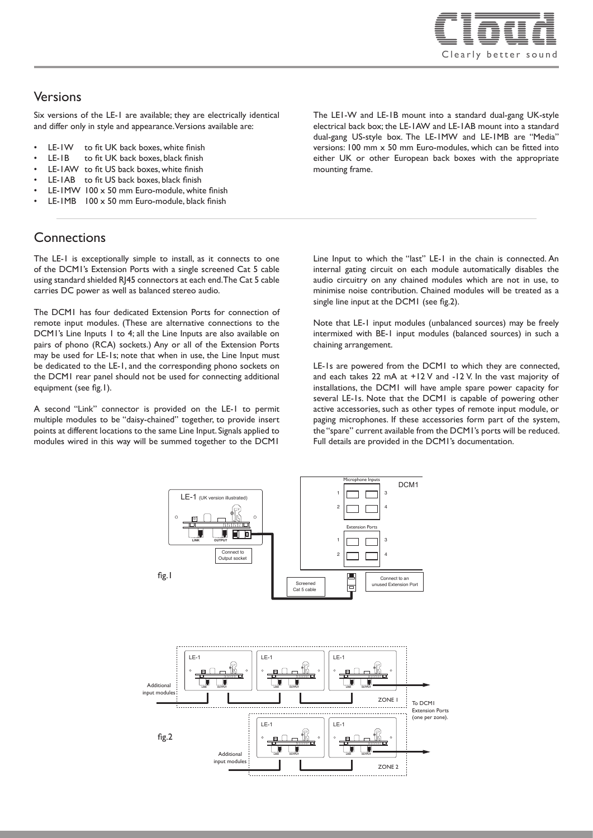

#### Versions

Six versions of the LE-1 are available; they are electrically identical and differ only in style and appearance. Versions available are:

- LE-IW to fit UK back boxes, white finish
- LE-1B to fit UK back boxes, black finish
- LE-1AW to fit US back boxes, white finish
- LE-1AB to fit US back boxes, black finish
- LE-1MW 100 x 50 mm Euro-module, white finish
- LE-1MB 100 x 50 mm Euro-module, black finish

## **Connections**

The LE-1 is exceptionally simple to install, as it connects to one of the DCM1's Extension Ports with a single screened Cat 5 cable using standard shielded RJ45 connectors at each end. The Cat 5 cable carries DC power as well as balanced stereo audio.

The DCM1 has four dedicated Extension Ports for connection of remote input modules. (These are alternative connections to the DCM1's Line Inputs 1 to 4; all the Line Inputs are also available on pairs of phono (RCA) sockets.) Any or all of the Extension Ports may be used for LE-1s; note that when in use, the Line Input must be dedicated to the LE-1, and the corresponding phono sockets on the DCM1 rear panel should not be used for connecting additional equipment (see fig.1).

A second "Link" connector is provided on the LE-1 to permit multiple modules to be "daisy-chained" together, to provide insert points at different locations to the same Line Input. Signals applied to modules wired in this way will be summed together to the DCM1

The LE1-W and LE-1B mount into a standard dual-gang UK-style electrical back box; the LE-1AW and LE-1AB mount into a standard dual-gang US-style box. The LE-1MW and LE-1MB are "Media" versions: 100 mm x 50 mm Euro-modules, which can be fitted into either UK or other European back boxes with the appropriate mounting frame.

Line Input to which the "last" LE-1 in the chain is connected. An internal gating circuit on each module automatically disables the audio circuitry on any chained modules which are not in use, to minimise noise contribution. Chained modules will be treated as a single line input at the DCM1 (see fig.2).

Note that LE-1 input modules (unbalanced sources) may be freely intermixed with BE-1 input modules (balanced sources) in such a chaining arrangement.

LE-1s are powered from the DCM1 to which they are connected, and each takes 22 mA at +12 V and -12 V. In the vast majority of installations, the DCM1 will have ample spare power capacity for several LE-1s. Note that the DCM1 is capable of powering other active accessories, such as other types of remote input module, or paging microphones. If these accessories form part of the system, the "spare" current available from the DCM1's ports will be reduced. Full details are provided in the DCM1's documentation.

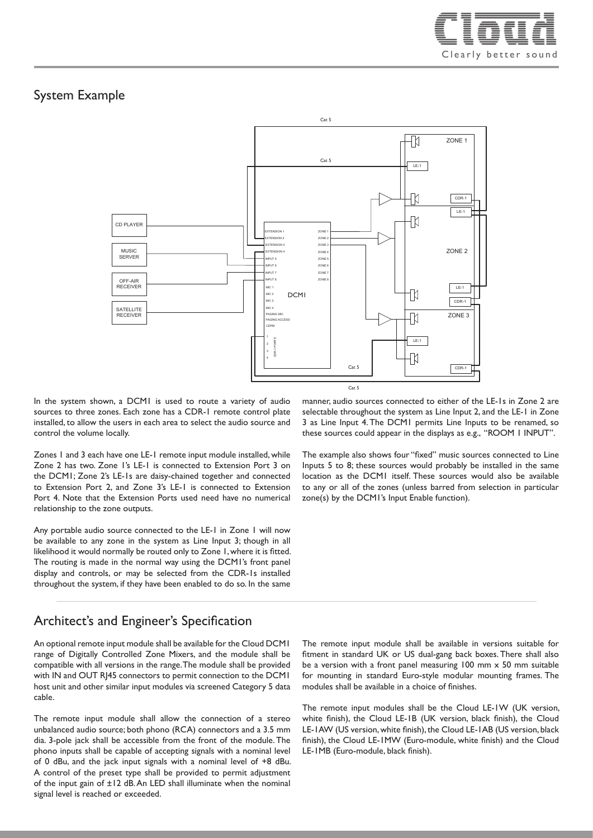

## System Example



In the system shown, a DCM1 is used to route a variety of audio sources to three zones. Each zone has a CDR-1 remote control plate installed, to allow the users in each area to select the audio source and control the volume locally.

Zones 1 and 3 each have one LE-1 remote input module installed, while Zone 2 has two. Zone 1's LE-1 is connected to Extension Port 3 on the DCM1; Zone 2's LE-1s are daisy-chained together and connected to Extension Port 2, and Zone 3's LE-1 is connected to Extension Port 4. Note that the Extension Ports used need have no numerical relationship to the zone outputs.

Any portable audio source connected to the LE-1 in Zone 1 will now be available to any zone in the system as Line Input 3; though in all likelihood it would normally be routed only to Zone 1, where it is fitted. The routing is made in the normal way using the DCM1's front panel display and controls, or may be selected from the CDR-1s installed throughout the system, if they have been enabled to do so. In the same

manner, audio sources connected to either of the LE-1s in Zone 2 are selectable throughout the system as Line Input 2, and the LE-1 in Zone 3 as Line Input 4. The DCM1 permits Line Inputs to be renamed, so these sources could appear in the displays as e.g., "ROOM 1 INPUT".

The example also shows four "fixed" music sources connected to Line Inputs 5 to 8; these sources would probably be installed in the same location as the DCM1 itself. These sources would also be available to any or all of the zones (unless barred from selection in particular zone(s) by the DCM1's Input Enable function).

## Architect's and Engineer's Specification

An optional remote input module shall be available for the Cloud DCM1 range of Digitally Controlled Zone Mixers, and the module shall be compatible with all versions in the range. The module shall be provided with IN and OUT R|45 connectors to permit connection to the DCM1 host unit and other similar input modules via screened Category 5 data cable.

The remote input module shall allow the connection of a stereo unbalanced audio source; both phono (RCA) connectors and a 3.5 mm dia. 3-pole jack shall be accessible from the front of the module. The phono inputs shall be capable of accepting signals with a nominal level of 0 dBu, and the jack input signals with a nominal level of +8 dBu. A control of the preset type shall be provided to permit adjustment of the input gain of ±12 dB. An LED shall illuminate when the nominal signal level is reached or exceeded.

The remote input module shall be available in versions suitable for fitment in standard UK or US dual-gang back boxes. There shall also be a version with a front panel measuring 100 mm x 50 mm suitable for mounting in standard Euro-style modular mounting frames. The modules shall be available in a choice of finishes.

The remote input modules shall be the Cloud LE-1W (UK version, white finish), the Cloud LE-1B (UK version, black finish), the Cloud LE-1AW (US version, white finish), the Cloud LE-1AB (US version, black finish), the Cloud LE-1MW (Euro-module, white finish) and the Cloud LE-1MB (Euro-module, black finish).